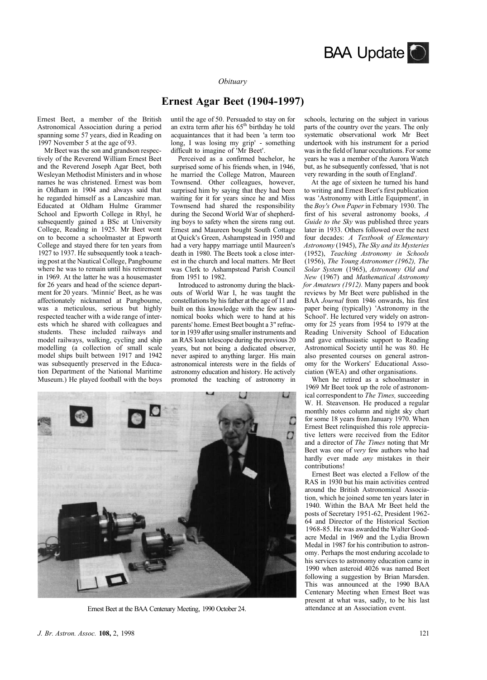

## *Obituary*

## **Ernest Agar Beet (1904-1997)**

Ernest Beet, a member of the British Astronomical Association during a period spanning some 57 years, died in Reading on 1997 November 5 at the age of 93.

Mr Beet was the son and grandson respectively of the Reverend William Ernest Beet and the Reverend Joseph Agar Beet, both Wesleyan Methodist Ministers and in whose names he was christened. Ernest was bom in Oldham in 1904 and always said that he regarded himself as a Lancashire man. Educated at Oldham Hulme Grammer School and Epworth College in Rhyl, he subsequently gained a BSc at University College, Reading in 1925. Mr Beet went on to become a schoolmaster at Epworth College and stayed there for ten years from 1927 to 1937. He subsequently took a teaching post at the Nautical College, Pangboume where he was to remain until his retirement in 1969. At the latter he was a housemaster for 26 years and head of the science department for 20 years. 'Minnie' Beet, as he was affectionately nicknamed at Pangboume, was a meticulous, serious but highly respected teacher with a wide range of interests which he shared with colleagues and students. These included railways and model railways, walking, cycling and ship modelling (a collection of small scale model ships built between 1917 and 1942 was subsequently preserved in the Education Department of the National Maritime Museum.) He played football with the boys until the age of 50. Persuaded to stay on for an extra term after his  $65<sup>th</sup>$  birthday he told acquaintances that it had been 'a term too long, I was losing my grip' - something difficult to imagine of 'Mr Beet'.

Perceived as a confirmed bachelor, he surprised some of his friends when, in 1946, he married the College Matron, Maureen Townsend. Other colleagues, however, surprised him by saying that they had been waiting for it for years since he and Miss Townsend had shared the responsibility during the Second World War of shepherding boys to safety when the sirens rang out. Ernest and Maureen bought South Cottage at Quick's Green, Ashampstead in 1950 and had a very happy marriage until Maureen's death in 1980. The Beets took a close interest in the church and local matters. Mr Beet was Clerk to Ashampstead Parish Council from 1951 to 1982.

Introduced to astronomy during the blackouts of World War I, he was taught the constellations by his father at the age of 11 and built on this knowledge with the few astronomical books which were to hand at his parents' home. Ernest Beet bought a 3" refractor in 1939 after using smaller instruments and an RAS loan telescope during the previous 20 years, but not being a dedicated observer, never aspired to anything larger. His main astronomical interests were in the fields of astronomy education and history. He actively promoted the teaching of astronomy in



Ernest Beet at the BAA Centenary Meeting, 1990 October 24.

schools, lecturing on the subject in various parts of the country over the years. The only systematic observational work Mr Beet undertook with his instrument for a period was in the field of lunar occultations. For some years he was a member of the Aurora Watch but, as he subsequently confessed, 'that is not very rewarding in the south of England'.

At the age of sixteen he turned his hand to writing and Ernest Beet's first publication was 'Astronomy with Little Equipment', in the *Boy's Own Paper* in Febmary 1930. The first of his several astronomy books, *A Guide to the Sky* was published three years later in 1933. Others followed over the next four decades: *A Textbook of Elementary Astronomy* (1945), *The Sky and its Mysteries*  (1952), *Teaching Astronomy in Schools*  (1956), *The Young Astronomer (1962), The Solar System* (1965), *Astronomy Old and New* (1967) and *Mathematical Astronomy for Amateurs (1912).* Many papers and book reviews by Mr Beet were published in the BAA *Journal* from 1946 onwards, his first paper being (typically) 'Astronomy in the School'. He lectured very widely on astronomy for 25 years from 1954 to 1979 at the Reading University School of Education and gave enthusiastic support to Reading Astronomical Society until he was 80. He also presented courses on general astronomy for the Workers' Educational Association (WEA) and other organisations.

When he retired as a schoolmaster in 1969 Mr Beet took up the role of astronomical correspondent to *The Times,* succeeding W. H. Steavenson. He produced a regular monthly notes column and night sky chart for some 18 years from January 1970. When Ernest Beet relinquished this role appreciative letters were received from the Editor and a director of *The Times* noting that Mr Beet was one of *very* few authors who had hardly ever made *any* mistakes in their contributions!

Ernest Beet was elected a Fellow of the RAS in 1930 but his main activities centred around the British Astronomical Association, which he joined some ten years later in 1940. Within the BAA Mr Beet held the posts of Secretary 1951-62, President 1962- 64 and Director of the Historical Section 1968-85. He was awarded the Walter Goodacre Medal in 1969 and the Lydia Brown Medal in 1987 for his contribution to astronomy. Perhaps the most enduring accolade to his services to astronomy education came in 1990 when asteroid 4026 was named Beet following a suggestion by Brian Marsden. This was announced at the 1990 BAA Centenary Meeting when Ernest Beet was present at what was, sadly, to be his last attendance at an Association event.